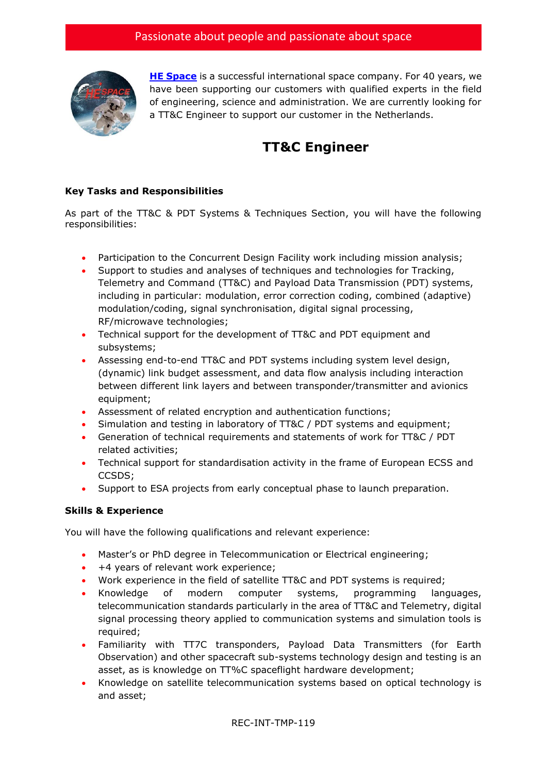

**[HE Space](http://www.hespace.com/)** is a successful international space company. For 40 years, we have been supporting our customers with qualified experts in the field of engineering, science and administration. We are currently looking for a TT&C Engineer to support our customer in the Netherlands.

## **TT&C Engineer**

## **Key Tasks and Responsibilities**

As part of the TT&C & PDT Systems & Techniques Section, you will have the following responsibilities:

- Participation to the Concurrent Design Facility work including mission analysis;
- Support to studies and analyses of techniques and technologies for Tracking, Telemetry and Command (TT&C) and Payload Data Transmission (PDT) systems, including in particular: modulation, error correction coding, combined (adaptive) modulation/coding, signal synchronisation, digital signal processing, RF/microwave technologies;
- Technical support for the development of TT&C and PDT equipment and subsystems;
- Assessing end-to-end TT&C and PDT systems including system level design, (dynamic) link budget assessment, and data flow analysis including interaction between different link layers and between transponder/transmitter and avionics equipment;
- Assessment of related encryption and authentication functions;
- Simulation and testing in laboratory of TT&C / PDT systems and equipment;
- Generation of technical requirements and statements of work for TT&C / PDT related activities;
- Technical support for standardisation activity in the frame of European ECSS and CCSDS;
- Support to ESA projects from early conceptual phase to launch preparation.

## **Skills & Experience**

You will have the following qualifications and relevant experience:

- Master's or PhD degree in Telecommunication or Electrical engineering;
- +4 years of relevant work experience;
- Work experience in the field of satellite TT&C and PDT systems is required;
- Knowledge of modern computer systems, programming languages, telecommunication standards particularly in the area of TT&C and Telemetry, digital signal processing theory applied to communication systems and simulation tools is required;
- Familiarity with TT7C transponders, Payload Data Transmitters (for Earth Observation) and other spacecraft sub-systems technology design and testing is an asset, as is knowledge on TT%C spaceflight hardware development;
- Knowledge on satellite telecommunication systems based on optical technology is and asset;